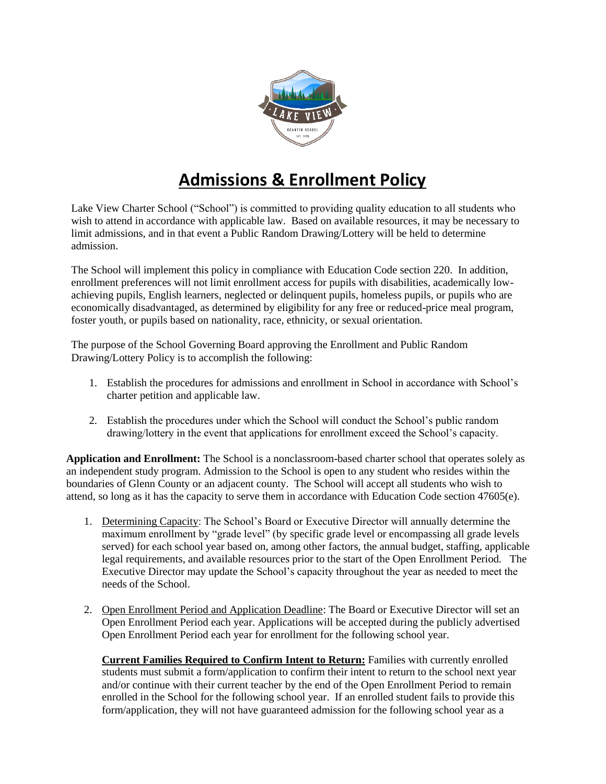

## **Admissions & Enrollment Policy**

Lake View Charter School ("School") is committed to providing quality education to all students who wish to attend in accordance with applicable law. Based on available resources, it may be necessary to limit admissions, and in that event a Public Random Drawing/Lottery will be held to determine admission.

The School will implement this policy in compliance with Education Code section 220. In addition, enrollment preferences will not limit enrollment access for pupils with disabilities, academically lowachieving pupils, English learners, neglected or delinquent pupils, homeless pupils, or pupils who are economically disadvantaged, as determined by eligibility for any free or reduced-price meal program, foster youth, or pupils based on nationality, race, ethnicity, or sexual orientation.

The purpose of the School Governing Board approving the Enrollment and Public Random Drawing/Lottery Policy is to accomplish the following:

- 1. Establish the procedures for admissions and enrollment in School in accordance with School's charter petition and applicable law.
- 2. Establish the procedures under which the School will conduct the School's public random drawing/lottery in the event that applications for enrollment exceed the School's capacity.

**Application and Enrollment:** The School is a nonclassroom-based charter school that operates solely as an independent study program. Admission to the School is open to any student who resides within the boundaries of Glenn County or an adjacent county. The School will accept all students who wish to attend, so long as it has the capacity to serve them in accordance with Education Code section 47605(e).

- 1. Determining Capacity: The School's Board or Executive Director will annually determine the maximum enrollment by "grade level" (by specific grade level or encompassing all grade levels served) for each school year based on, among other factors, the annual budget, staffing, applicable legal requirements, and available resources prior to the start of the Open Enrollment Period. The Executive Director may update the School's capacity throughout the year as needed to meet the needs of the School.
- 2. Open Enrollment Period and Application Deadline: The Board or Executive Director will set an Open Enrollment Period each year. Applications will be accepted during the publicly advertised Open Enrollment Period each year for enrollment for the following school year.

**Current Families Required to Confirm Intent to Return:** Families with currently enrolled students must submit a form/application to confirm their intent to return to the school next year and/or continue with their current teacher by the end of the Open Enrollment Period to remain enrolled in the School for the following school year. If an enrolled student fails to provide this form/application, they will not have guaranteed admission for the following school year as a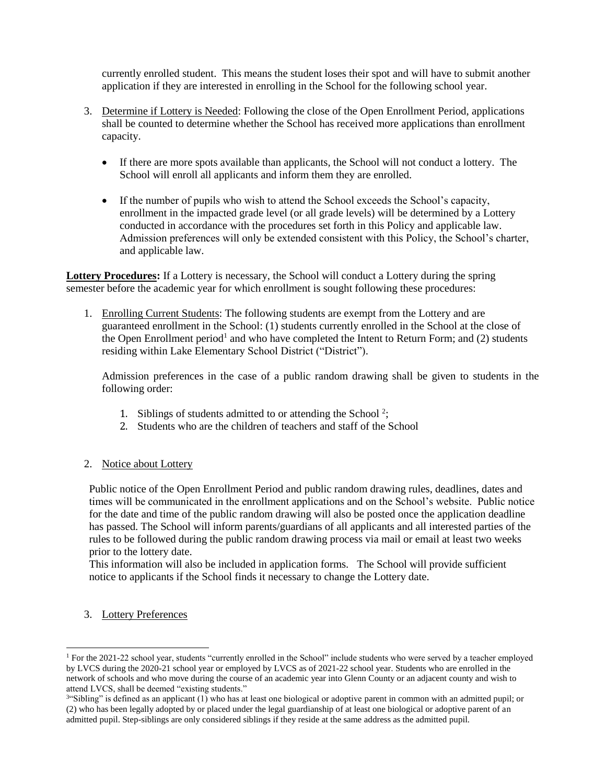currently enrolled student. This means the student loses their spot and will have to submit another application if they are interested in enrolling in the School for the following school year.

- 3. Determine if Lottery is Needed: Following the close of the Open Enrollment Period, applications shall be counted to determine whether the School has received more applications than enrollment capacity.
	- If there are more spots available than applicants, the School will not conduct a lottery. The School will enroll all applicants and inform them they are enrolled.
	- If the number of pupils who wish to attend the School exceeds the School's capacity, enrollment in the impacted grade level (or all grade levels) will be determined by a Lottery conducted in accordance with the procedures set forth in this Policy and applicable law. Admission preferences will only be extended consistent with this Policy, the School's charter, and applicable law.

**Lottery Procedures:** If a Lottery is necessary, the School will conduct a Lottery during the spring semester before the academic year for which enrollment is sought following these procedures:

1. Enrolling Current Students: The following students are exempt from the Lottery and are guaranteed enrollment in the School: (1) students currently enrolled in the School at the close of the Open Enrollment period<sup>1</sup> and who have completed the Intent to Return Form; and (2) students residing within Lake Elementary School District ("District").

Admission preferences in the case of a public random drawing shall be given to students in the following order:

- 1. Siblings of students admitted to or attending the School<sup>2</sup>;
- 2. Students who are the children of teachers and staff of the School
- 2. Notice about Lottery

Public notice of the Open Enrollment Period and public random drawing rules, deadlines, dates and times will be communicated in the enrollment applications and on the School's website. Public notice for the date and time of the public random drawing will also be posted once the application deadline has passed. The School will inform parents/guardians of all applicants and all interested parties of the rules to be followed during the public random drawing process via mail or email at least two weeks prior to the lottery date.

This information will also be included in application forms. The School will provide sufficient notice to applicants if the School finds it necessary to change the Lottery date.

## 3. Lottery Preferences

l

<sup>1</sup> For the 2021-22 school year, students "currently enrolled in the School" include students who were served by a teacher employed by LVCS during the 2020-21 school year or employed by LVCS as of 2021-22 school year. Students who are enrolled in the network of schools and who move during the course of an academic year into Glenn County or an adjacent county and wish to attend LVCS, shall be deemed "existing students."

<sup>&</sup>lt;sup>3</sup>"Sibling" is defined as an applicant (1) who has at least one biological or adoptive parent in common with an admitted pupil; or (2) who has been legally adopted by or placed under the legal guardianship of at least one biological or adoptive parent of an admitted pupil. Step-siblings are only considered siblings if they reside at the same address as the admitted pupil.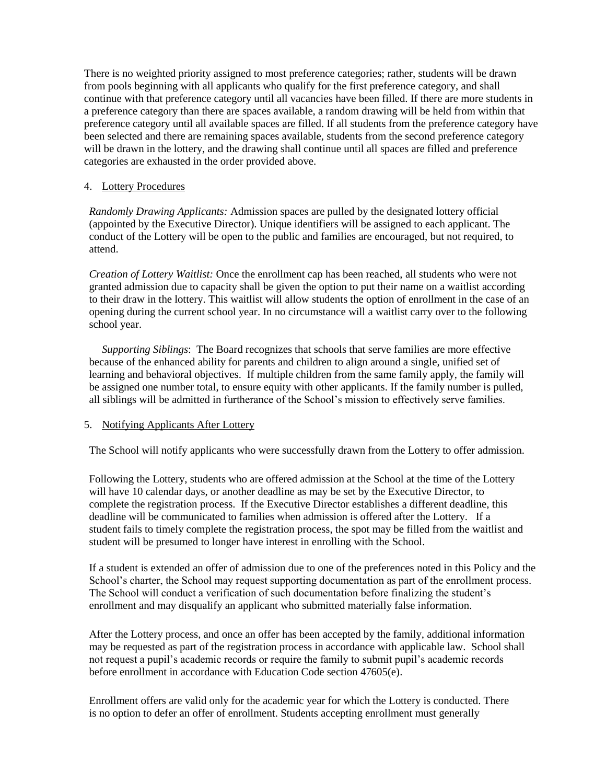There is no weighted priority assigned to most preference categories; rather, students will be drawn from pools beginning with all applicants who qualify for the first preference category, and shall continue with that preference category until all vacancies have been filled. If there are more students in a preference category than there are spaces available, a random drawing will be held from within that preference category until all available spaces are filled. If all students from the preference category have been selected and there are remaining spaces available, students from the second preference category will be drawn in the lottery, and the drawing shall continue until all spaces are filled and preference categories are exhausted in the order provided above.

## 4. Lottery Procedures

*Randomly Drawing Applicants:* Admission spaces are pulled by the designated lottery official (appointed by the Executive Director). Unique identifiers will be assigned to each applicant. The conduct of the Lottery will be open to the public and families are encouraged, but not required, to attend.

*Creation of Lottery Waitlist:* Once the enrollment cap has been reached, all students who were not granted admission due to capacity shall be given the option to put their name on a waitlist according to their draw in the lottery. This waitlist will allow students the option of enrollment in the case of an opening during the current school year. In no circumstance will a waitlist carry over to the following school year.

*Supporting Siblings*: The Board recognizes that schools that serve families are more effective because of the enhanced ability for parents and children to align around a single, unified set of learning and behavioral objectives. If multiple children from the same family apply, the family will be assigned one number total, to ensure equity with other applicants. If the family number is pulled, all siblings will be admitted in furtherance of the School's mission to effectively serve families.

## 5. Notifying Applicants After Lottery

The School will notify applicants who were successfully drawn from the Lottery to offer admission.

Following the Lottery, students who are offered admission at the School at the time of the Lottery will have 10 calendar days, or another deadline as may be set by the Executive Director, to complete the registration process. If the Executive Director establishes a different deadline, this deadline will be communicated to families when admission is offered after the Lottery. If a student fails to timely complete the registration process, the spot may be filled from the waitlist and student will be presumed to longer have interest in enrolling with the School.

If a student is extended an offer of admission due to one of the preferences noted in this Policy and the School's charter, the School may request supporting documentation as part of the enrollment process. The School will conduct a verification of such documentation before finalizing the student's enrollment and may disqualify an applicant who submitted materially false information.

After the Lottery process, and once an offer has been accepted by the family, additional information may be requested as part of the registration process in accordance with applicable law. School shall not request a pupil's academic records or require the family to submit pupil's academic records before enrollment in accordance with Education Code section 47605(e).

Enrollment offers are valid only for the academic year for which the Lottery is conducted. There is no option to defer an offer of enrollment. Students accepting enrollment must generally